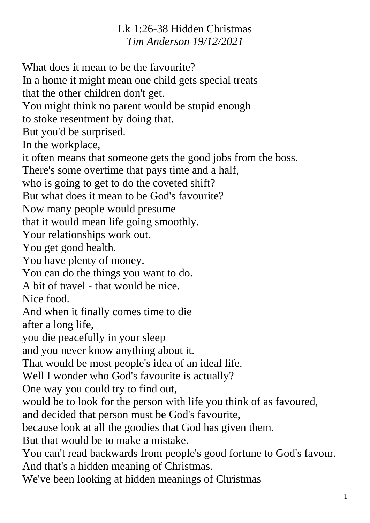## Lk 1:26-38 Hidden Christmas *Tim Anderson 19/12/2021*

What does it mean to be the favourite? In a home it might mean one child gets special treats that the other children don't get. You might think no parent would be stupid enough to stoke resentment by doing that. But you'd be surprised. In the workplace, it often means that someone gets the good jobs from the boss. There's some overtime that pays time and a half, who is going to get to do the coveted shift? But what does it mean to be God's favourite? Now many people would presume that it would mean life going smoothly. Your relationships work out. You get good health. You have plenty of money. You can do the things you want to do. A bit of travel - that would be nice. Nice food. And when it finally comes time to die after a long life, you die peacefully in your sleep and you never know anything about it. That would be most people's idea of an ideal life. Well I wonder who God's favourite is actually? One way you could try to find out, would be to look for the person with life you think of as favoured, and decided that person must be God's favourite, because look at all the goodies that God has given them. But that would be to make a mistake. You can't read backwards from people's good fortune to God's favour. And that's a hidden meaning of Christmas. We've been looking at hidden meanings of Christmas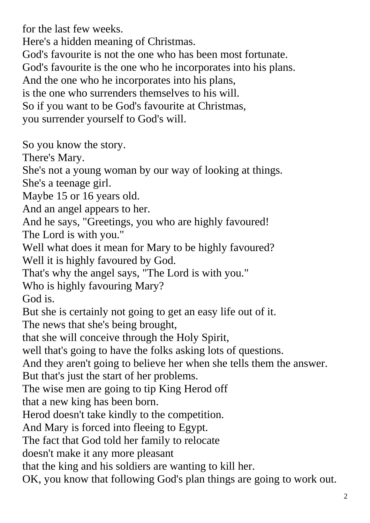for the last few weeks.

Here's a hidden meaning of Christmas.

God's favourite is not the one who has been most fortunate.

God's favourite is the one who he incorporates into his plans.

And the one who he incorporates into his plans,

is the one who surrenders themselves to his will.

So if you want to be God's favourite at Christmas,

you surrender yourself to God's will.

So you know the story.

There's Mary.

She's not a young woman by our way of looking at things.

She's a teenage girl.

Maybe 15 or 16 years old.

And an angel appears to her.

And he says, "Greetings, you who are highly favoured! The Lord is with you."

Well what does it mean for Mary to be highly favoured? Well it is highly favoured by God.

That's why the angel says, "The Lord is with you."

Who is highly favouring Mary?

God is.

But she is certainly not going to get an easy life out of it.

The news that she's being brought,

that she will conceive through the Holy Spirit,

well that's going to have the folks asking lots of questions.

And they aren't going to believe her when she tells them the answer. But that's just the start of her problems.

The wise men are going to tip King Herod off

that a new king has been born.

Herod doesn't take kindly to the competition.

And Mary is forced into fleeing to Egypt.

The fact that God told her family to relocate

doesn't make it any more pleasant

that the king and his soldiers are wanting to kill her.

OK, you know that following God's plan things are going to work out.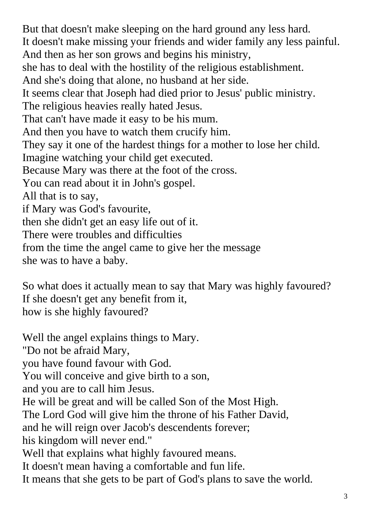But that doesn't make sleeping on the hard ground any less hard. It doesn't make missing your friends and wider family any less painful. And then as her son grows and begins his ministry, she has to deal with the hostility of the religious establishment. And she's doing that alone, no husband at her side. It seems clear that Joseph had died prior to Jesus' public ministry. The religious heavies really hated Jesus. That can't have made it easy to be his mum. And then you have to watch them crucify him. They say it one of the hardest things for a mother to lose her child. Imagine watching your child get executed. Because Mary was there at the foot of the cross. You can read about it in John's gospel. All that is to say, if Mary was God's favourite, then she didn't get an easy life out of it. There were troubles and difficulties from the time the angel came to give her the message

she was to have a baby.

So what does it actually mean to say that Mary was highly favoured? If she doesn't get any benefit from it, how is she highly favoured?

Well the angel explains things to Mary. "Do not be afraid Mary, you have found favour with God. You will conceive and give birth to a son, and you are to call him Jesus. He will be great and will be called Son of the Most High. The Lord God will give him the throne of his Father David, and he will reign over Jacob's descendents forever; his kingdom will never end." Well that explains what highly favoured means. It doesn't mean having a comfortable and fun life. It means that she gets to be part of God's plans to save the world.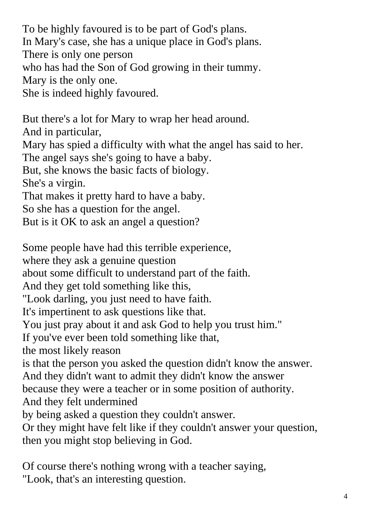To be highly favoured is to be part of God's plans. In Mary's case, she has a unique place in God's plans. There is only one person who has had the Son of God growing in their tummy. Mary is the only one. She is indeed highly favoured.

But there's a lot for Mary to wrap her head around. And in particular, Mary has spied a difficulty with what the angel has said to her. The angel says she's going to have a baby. But, she knows the basic facts of biology. She's a virgin. That makes it pretty hard to have a baby. So she has a question for the angel. But is it OK to ask an angel a question?

Some people have had this terrible experience,

where they ask a genuine question

about some difficult to understand part of the faith.

And they get told something like this,

"Look darling, you just need to have faith.

It's impertinent to ask questions like that.

You just pray about it and ask God to help you trust him."

If you've ever been told something like that,

the most likely reason

is that the person you asked the question didn't know the answer.

And they didn't want to admit they didn't know the answer

because they were a teacher or in some position of authority.

And they felt undermined

by being asked a question they couldn't answer.

Or they might have felt like if they couldn't answer your question, then you might stop believing in God.

Of course there's nothing wrong with a teacher saying, "Look, that's an interesting question.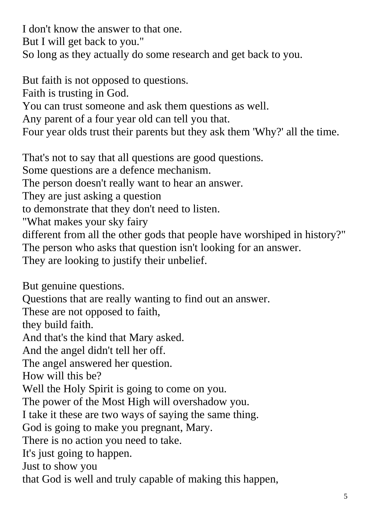I don't know the answer to that one. But I will get back to you." So long as they actually do some research and get back to you.

But faith is not opposed to questions.

Faith is trusting in God.

You can trust someone and ask them questions as well.

Any parent of a four year old can tell you that.

Four year olds trust their parents but they ask them 'Why?' all the time.

That's not to say that all questions are good questions.

Some questions are a defence mechanism.

The person doesn't really want to hear an answer.

They are just asking a question

to demonstrate that they don't need to listen.

"What makes your sky fairy

different from all the other gods that people have worshiped in history?" The person who asks that question isn't looking for an answer.

They are looking to justify their unbelief.

But genuine questions.

Questions that are really wanting to find out an answer.

These are not opposed to faith,

they build faith.

And that's the kind that Mary asked.

And the angel didn't tell her off.

The angel answered her question.

How will this be?

Well the Holy Spirit is going to come on you.

The power of the Most High will overshadow you.

I take it these are two ways of saying the same thing.

God is going to make you pregnant, Mary.

There is no action you need to take.

It's just going to happen.

Just to show you

that God is well and truly capable of making this happen,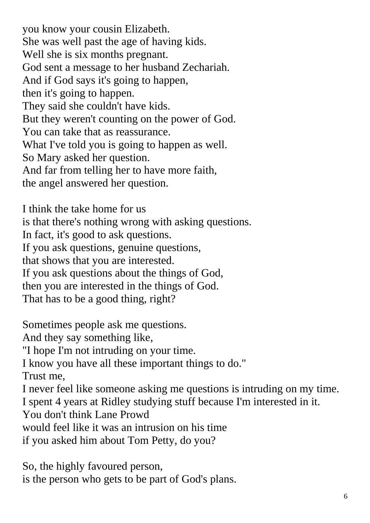you know your cousin Elizabeth. She was well past the age of having kids. Well she is six months pregnant. God sent a message to her husband Zechariah. And if God says it's going to happen, then it's going to happen. They said she couldn't have kids. But they weren't counting on the power of God. You can take that as reassurance. What I've told you is going to happen as well. So Mary asked her question. And far from telling her to have more faith, the angel answered her question.

I think the take home for us is that there's nothing wrong with asking questions. In fact, it's good to ask questions. If you ask questions, genuine questions, that shows that you are interested. If you ask questions about the things of God, then you are interested in the things of God. That has to be a good thing, right?

Sometimes people ask me questions. And they say something like, "I hope I'm not intruding on your time. I know you have all these important things to do." Trust me, I never feel like someone asking me questions is intruding on my time. I spent 4 years at Ridley studying stuff because I'm interested in it. You don't think Lane Prowd would feel like it was an intrusion on his time if you asked him about Tom Petty, do you?

So, the highly favoured person, is the person who gets to be part of God's plans.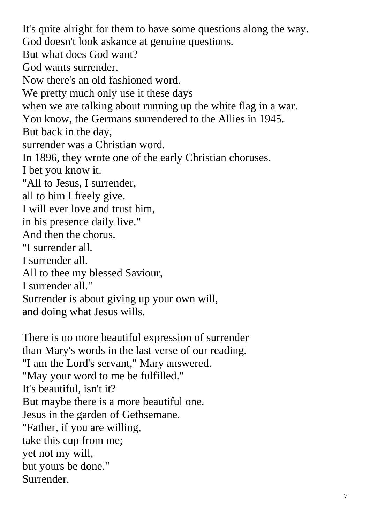It's quite alright for them to have some questions along the way. God doesn't look askance at genuine questions. But what does God want? God wants surrender. Now there's an old fashioned word. We pretty much only use it these days when we are talking about running up the white flag in a war. You know, the Germans surrendered to the Allies in 1945. But back in the day, surrender was a Christian word. In 1896, they wrote one of the early Christian choruses. I bet you know it. "All to Jesus, I surrender, all to him I freely give. I will ever love and trust him, in his presence daily live." And then the chorus. "I surrender all. I surrender all. All to thee my blessed Saviour, I surrender all." Surrender is about giving up your own will, and doing what Jesus wills.

There is no more beautiful expression of surrender than Mary's words in the last verse of our reading. "I am the Lord's servant," Mary answered. "May your word to me be fulfilled." It's beautiful, isn't it? But maybe there is a more beautiful one. Jesus in the garden of Gethsemane. "Father, if you are willing, take this cup from me; yet not my will, but yours be done." Surrender.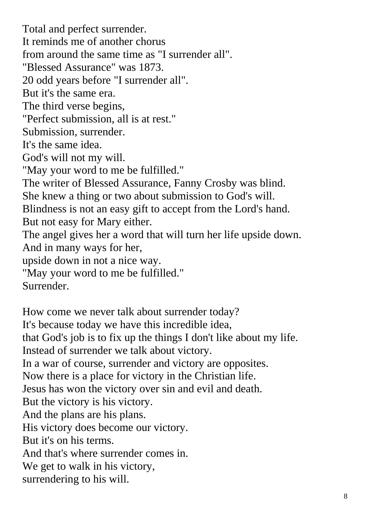Total and perfect surrender. It reminds me of another chorus from around the same time as "I surrender all". "Blessed Assurance" was 1873. 20 odd years before "I surrender all". But it's the same era. The third verse begins, "Perfect submission, all is at rest." Submission, surrender. It's the same idea. God's will not my will. "May your word to me be fulfilled." The writer of Blessed Assurance, Fanny Crosby was blind. She knew a thing or two about submission to God's will. Blindness is not an easy gift to accept from the Lord's hand. But not easy for Mary either. The angel gives her a word that will turn her life upside down. And in many ways for her, upside down in not a nice way. "May your word to me be fulfilled." Surrender.

How come we never talk about surrender today? It's because today we have this incredible idea, that God's job is to fix up the things I don't like about my life. Instead of surrender we talk about victory. In a war of course, surrender and victory are opposites. Now there is a place for victory in the Christian life. Jesus has won the victory over sin and evil and death. But the victory is his victory. And the plans are his plans. His victory does become our victory. But it's on his terms. And that's where surrender comes in. We get to walk in his victory, surrendering to his will.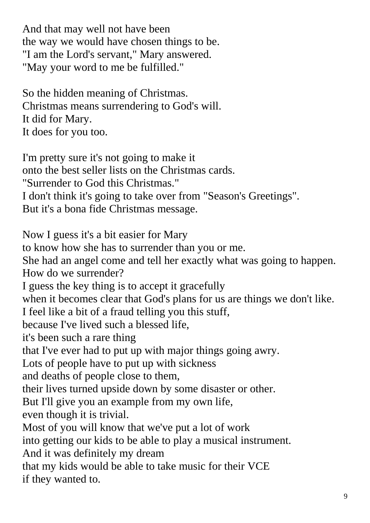And that may well not have been the way we would have chosen things to be. "I am the Lord's servant," Mary answered. "May your word to me be fulfilled."

So the hidden meaning of Christmas. Christmas means surrendering to God's will. It did for Mary. It does for you too.

I'm pretty sure it's not going to make it onto the best seller lists on the Christmas cards. "Surrender to God this Christmas." I don't think it's going to take over from "Season's Greetings". But it's a bona fide Christmas message.

Now I guess it's a bit easier for Mary to know how she has to surrender than you or me. She had an angel come and tell her exactly what was going to happen. How do we surrender? I guess the key thing is to accept it gracefully when it becomes clear that God's plans for us are things we don't like. I feel like a bit of a fraud telling you this stuff, because I've lived such a blessed life, it's been such a rare thing that I've ever had to put up with major things going awry. Lots of people have to put up with sickness and deaths of people close to them, their lives turned upside down by some disaster or other. But I'll give you an example from my own life, even though it is trivial. Most of you will know that we've put a lot of work into getting our kids to be able to play a musical instrument. And it was definitely my dream that my kids would be able to take music for their VCE if they wanted to.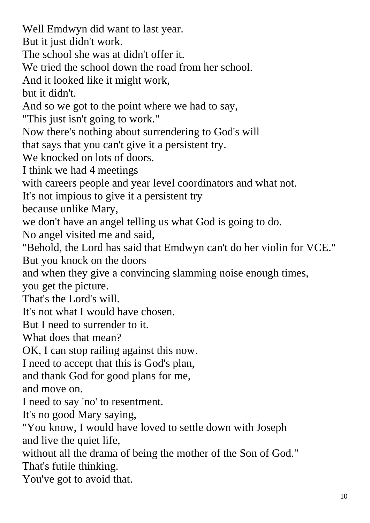Well Emdwyn did want to last year. But it just didn't work. The school she was at didn't offer it. We tried the school down the road from her school. And it looked like it might work, but it didn't. And so we got to the point where we had to say, "This just isn't going to work." Now there's nothing about surrendering to God's will that says that you can't give it a persistent try. We knocked on lots of doors. I think we had 4 meetings with careers people and year level coordinators and what not. It's not impious to give it a persistent try because unlike Mary, we don't have an angel telling us what God is going to do. No angel visited me and said, "Behold, the Lord has said that Emdwyn can't do her violin for VCE." But you knock on the doors and when they give a convincing slamming noise enough times, you get the picture. That's the Lord's will. It's not what I would have chosen. But I need to surrender to it. What does that mean? OK, I can stop railing against this now. I need to accept that this is God's plan, and thank God for good plans for me, and move on. I need to say 'no' to resentment. It's no good Mary saying, "You know, I would have loved to settle down with Joseph and live the quiet life, without all the drama of being the mother of the Son of God." That's futile thinking. You've got to avoid that.